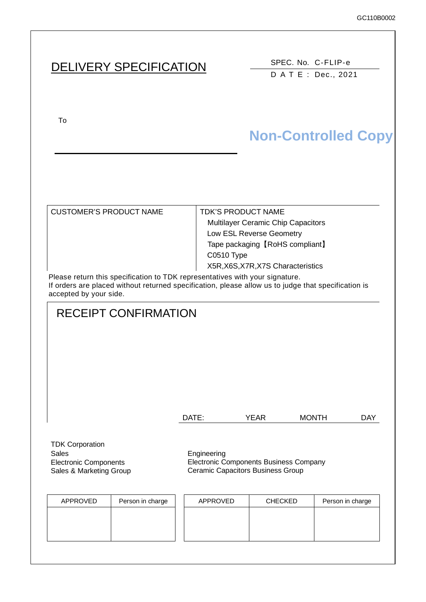# DELIVERY SPECIFICATION SPEC. No. C-FLIP-e

DATE: Dec., 2021

To  $U$ 

# **Non-Controlled Copy**

| <b>CUSTOMER'S PRODUCT NAME</b>                                                                                     | <b>TDK'S PRODUCT NAME</b>                 |
|--------------------------------------------------------------------------------------------------------------------|-------------------------------------------|
|                                                                                                                    | <b>Multilayer Ceramic Chip Capacitors</b> |
|                                                                                                                    | Low ESL Reverse Geometry                  |
|                                                                                                                    | Tape packaging [RoHS compliant]           |
|                                                                                                                    | <b>C0510 Type</b>                         |
|                                                                                                                    | X5R, X6S, X7R, X7S Characteristics        |
| This can be accepted to a constitution of the TTM accepted and the constitutional constitution of the constitution |                                           |

Please return this specification to TDK representatives with your signature. If orders are placed without returned specification, please allow us to judge that specification is accepted by your side.

# RECEIPT CONFIRMATION

| DATE: | YEAR | <b>MONTH</b> | DAY |
|-------|------|--------------|-----|
|       |      |              |     |

TDK Corporation Sales **Engineering** Electronic Components Sales & Marketing Group

Electronic Components Business Company Ceramic Capacitors Business Group

| Person in charge<br>APPROVED | APPROVED | <b>CHECKED</b> | Person in charge |
|------------------------------|----------|----------------|------------------|
|                              |          |                |                  |
|                              |          |                |                  |
|                              |          |                |                  |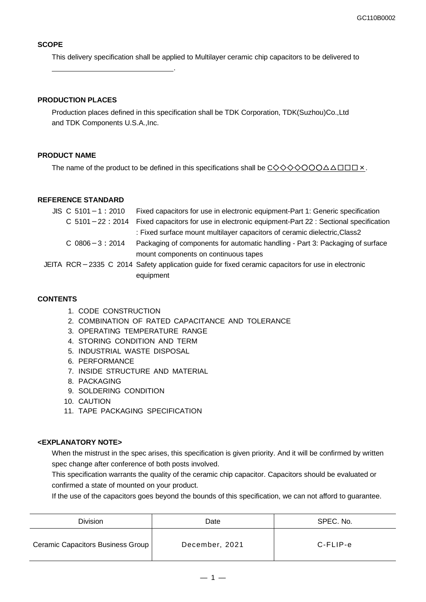#### **SCOPE**

This delivery specification shall be applied to Multilayer ceramic chip capacitors to be delivered to

#### **PRODUCTION PLACES**

.

Production places defined in this specification shall be TDK Corporation, TDK(Suzhou)Co.,Ltd and TDK Components U.S.A.,Inc.

#### **PRODUCT NAME**

The name of the product to be defined in this specifications shall be  $C \diamondsuit \diamondsuit \diamondsuit \diamondsuit \circ \bullet \triangle \square \square \square \times$ .

#### **REFERENCE STANDARD**

| $JIS \, C \, 5101 - 1 : 2010$ | Fixed capacitors for use in electronic equipment-Part 1: Generic specification                    |
|-------------------------------|---------------------------------------------------------------------------------------------------|
| $C$ 5101 - 22 : 2014          | Fixed capacitors for use in electronic equipment-Part 22 : Sectional specification                |
|                               | : Fixed surface mount multilayer capacitors of ceramic dielectric, Class2                         |
| $C$ 0806 - 3 : 2014           | Packaging of components for automatic handling - Part 3: Packaging of surface                     |
|                               | mount components on continuous tapes                                                              |
|                               | JEITA RCR-2335 C 2014 Safety application guide for fixed ceramic capacitors for use in electronic |
|                               | equipment                                                                                         |
|                               |                                                                                                   |

#### **CONTENTS**

- 1. CODE CONSTRUCTION
- 2. COMBINATION OF RATED CAPACITANCE AND TOLERANCE
- 3. OPERATING TEMPERATURE RANGE
- 4. STORING CONDITION AND TERM
- 5. INDUSTRIAL WASTE DISPOSAL
- 6. PERFORMANCE
- 7. INSIDE STRUCTURE AND MATERIAL
- 8. PACKAGING
- 9. SOLDERING CONDITION
- 10. CAUTION
- 11. TAPE PACKAGING SPECIFICATION

#### **<EXPLANATORY NOTE>**

When the mistrust in the spec arises, this specification is given priority. And it will be confirmed by written spec change after conference of both posts involved.

This specification warrants the quality of the ceramic chip capacitor. Capacitors should be evaluated or confirmed a state of mounted on your product.

If the use of the capacitors goes beyond the bounds of this specification, we can not afford to guarantee.

| Division                          | Date           | SPEC. No. |
|-----------------------------------|----------------|-----------|
| Ceramic Capacitors Business Group | December, 2021 | C-FLIP-e  |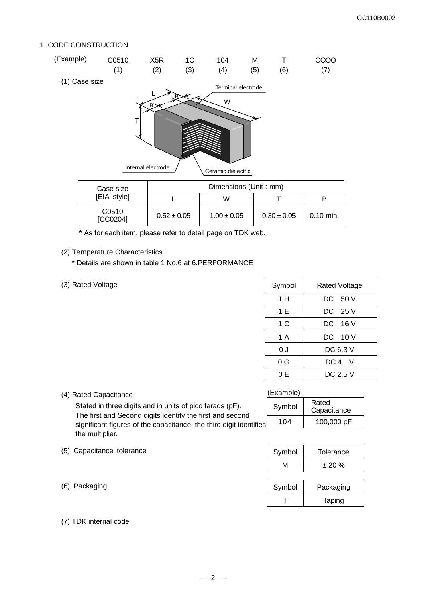#### 1. CODE CONSTRUCTION



\* As for each item, please refer to detail page on TDK web.

(2) Temperature Characteristics

\* Details are shown in table 1 No.6 at 6.PERFORMANCE

(3) Rated Voltage

| Symbol | <b>Rated Voltage</b> |  |
|--------|----------------------|--|
| 1 H    | DC 50 V              |  |
| 1 E    | DC 25 V              |  |
| 1 C    | DC 16 V              |  |
| 1 A    | DC 10 V              |  |
| 0 J    | DC 6.3 V             |  |
| 0 G    | DC 4 V               |  |
| 0 E    | DC 2.5 V             |  |

 $M \t= 20 \%$ 

Symbol | Packaging T | Taping

| (Example)<br>(4) Rated Capacitance                                                                                    |     |                      |
|-----------------------------------------------------------------------------------------------------------------------|-----|----------------------|
| Stated in three digits and in units of pico farads (pF).<br>The first and Second digits identify the first and second |     | Rated<br>Capacitance |
| significant figures of the capacitance, the third digit identifies                                                    | 104 | 100,000 pF           |
| the multiplier.                                                                                                       |     |                      |

| (5) Capacitance tolerance | Symbol I | Tolerance |
|---------------------------|----------|-----------|
|                           |          |           |

|  | (6) Packaging |
|--|---------------|
|--|---------------|

#### (7) TDK internal code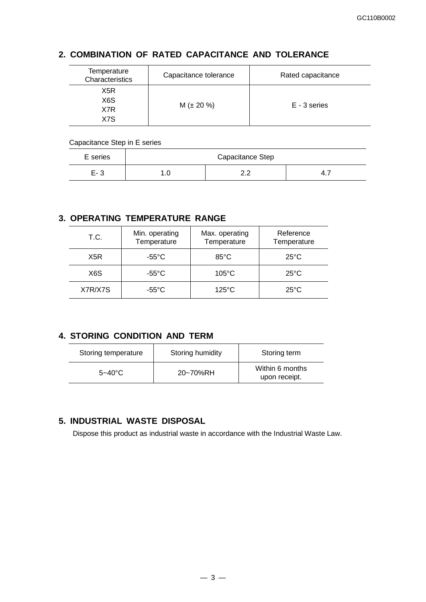## **2. COMBINATION OF RATED CAPACITANCE AND TOLERANCE**

| Temperature<br>Characteristics | Capacitance tolerance | Rated capacitance |  |
|--------------------------------|-----------------------|-------------------|--|
| X5R<br>X6S<br>X7R<br>X7S       | $M (\pm 20 \%)$       | E - 3 series      |  |

#### Capacitance Step in E series

| E series | Capacitance Step |                 |      |
|----------|------------------|-----------------|------|
| $E - 3$  | ں.∟              | ה ה<br><u>.</u> | 4. 1 |

### **3. OPERATING TEMPERATURE RANGE**

| T.C.             | Min. operating<br>Temperature | Max. operating<br>Temperature | Reference<br>Temperature |
|------------------|-------------------------------|-------------------------------|--------------------------|
| X <sub>5</sub> R | $-55^{\circ}$ C               | 85°C                          | $25^{\circ}$ C           |
| X6S              | $-55^{\circ}$ C               | $105^{\circ}$ C               | $25^{\circ}$ C           |
| X7R/X7S          | $-55^{\circ}$ C               | $125^{\circ}$ C               | $25^{\circ}$ C           |

### **4. STORING CONDITION AND TERM**

| Storing temperature | Storing humidity | Storing term                     |
|---------------------|------------------|----------------------------------|
| $5 - 40^{\circ}$ C  | 20~70%RH         | Within 6 months<br>upon receipt. |

## **5. INDUSTRIAL WASTE DISPOSAL**

Dispose this product as industrial waste in accordance with the Industrial Waste Law.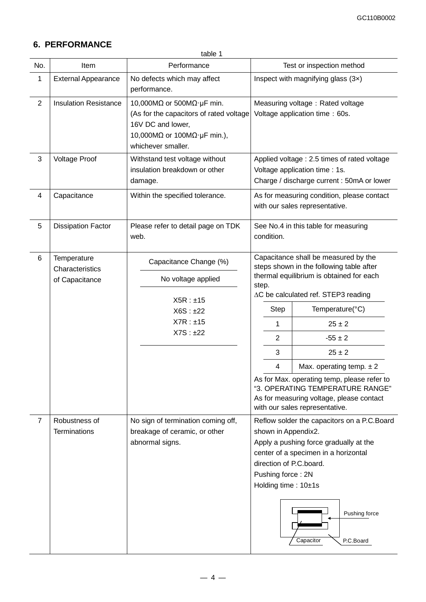## **6. PERFORMANCE**

table 1

| No.                      | Item                                             | Performance                                                                                                                                                                        | Test or inspection method                                                                                                                                                                                                                                                                                                                                                                                                                                                                   |  |
|--------------------------|--------------------------------------------------|------------------------------------------------------------------------------------------------------------------------------------------------------------------------------------|---------------------------------------------------------------------------------------------------------------------------------------------------------------------------------------------------------------------------------------------------------------------------------------------------------------------------------------------------------------------------------------------------------------------------------------------------------------------------------------------|--|
| 1                        | <b>External Appearance</b>                       | No defects which may affect<br>performance.                                                                                                                                        | Inspect with magnifying glass $(3x)$                                                                                                                                                                                                                                                                                                                                                                                                                                                        |  |
| $\overline{2}$           | <b>Insulation Resistance</b>                     | 10,000M $\Omega$ or 500M $\Omega$ · µF min.<br>(As for the capacitors of rated voltage<br>16V DC and lower,<br>10,000M $\Omega$ or 100M $\Omega$ · µF min.),<br>whichever smaller. | Measuring voltage: Rated voltage<br>Voltage application time : 60s.                                                                                                                                                                                                                                                                                                                                                                                                                         |  |
| $\mathbf{3}$             | <b>Voltage Proof</b>                             | Withstand test voltage without<br>insulation breakdown or other<br>damage.                                                                                                         | Applied voltage : 2.5 times of rated voltage<br>Voltage application time : 1s.<br>Charge / discharge current : 50mA or lower                                                                                                                                                                                                                                                                                                                                                                |  |
| $\overline{\mathcal{L}}$ | Capacitance                                      | Within the specified tolerance.                                                                                                                                                    | As for measuring condition, please contact<br>with our sales representative.                                                                                                                                                                                                                                                                                                                                                                                                                |  |
| 5                        | <b>Dissipation Factor</b>                        | Please refer to detail page on TDK<br>web.                                                                                                                                         | See No.4 in this table for measuring<br>condition.                                                                                                                                                                                                                                                                                                                                                                                                                                          |  |
| 6                        | Temperature<br>Characteristics<br>of Capacitance | Capacitance Change (%)<br>No voltage applied<br>X5R : ±15<br>X6S : ±22<br>X7R : ±15<br>X7S : ±22                                                                                   | Capacitance shall be measured by the<br>steps shown in the following table after<br>thermal equilibrium is obtained for each<br>step.<br>∆C be calculated ref. STEP3 reading<br>Temperature(°C)<br><b>Step</b><br>$25 \pm 2$<br>1<br>$\overline{2}$<br>$-55 \pm 2$<br>3<br>$25 \pm 2$<br>4<br>Max. operating temp. $\pm 2$<br>As for Max. operating temp, please refer to<br>"3. OPERATING TEMPERATURE RANGE"<br>As for measuring voltage, please contact<br>with our sales representative. |  |
| $\overline{7}$           | Robustness of<br><b>Terminations</b>             | No sign of termination coming off,<br>breakage of ceramic, or other<br>abnormal signs.                                                                                             | Reflow solder the capacitors on a P.C.Board<br>shown in Appendix2.<br>Apply a pushing force gradually at the<br>center of a specimen in a horizontal<br>direction of P.C.board.<br>Pushing force: 2N<br>Holding time: 10±1s<br>Pushing force<br>Capacitor<br>P.C.Board                                                                                                                                                                                                                      |  |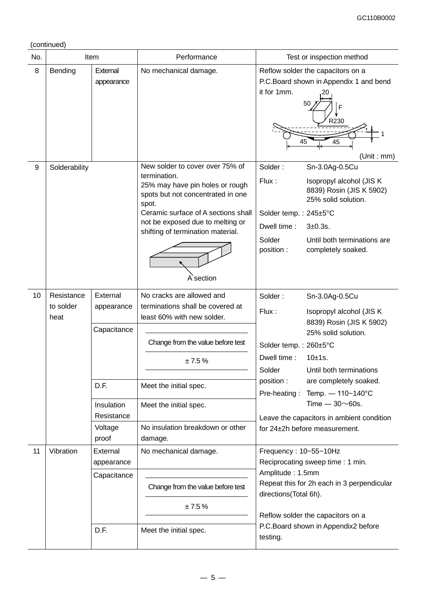(continued)

| No. | Item                            |                                                                                               | Performance                                                                                                                                                                                                                                                   | Test or inspection method                                                                                                                               |                                                                                                                                                                                                                                             |
|-----|---------------------------------|-----------------------------------------------------------------------------------------------|---------------------------------------------------------------------------------------------------------------------------------------------------------------------------------------------------------------------------------------------------------------|---------------------------------------------------------------------------------------------------------------------------------------------------------|---------------------------------------------------------------------------------------------------------------------------------------------------------------------------------------------------------------------------------------------|
| 8   | Bending                         | External<br>appearance                                                                        | No mechanical damage.                                                                                                                                                                                                                                         | Reflow solder the capacitors on a<br>it for 1mm.<br>50<br>45                                                                                            | P.C.Board shown in Appendix 1 and bend<br>F<br>R230<br>45<br>(Unit : mm)                                                                                                                                                                    |
| 9   | Solderability                   |                                                                                               | New solder to cover over 75% of<br>termination.<br>25% may have pin holes or rough<br>spots but not concentrated in one<br>spot.<br>Ceramic surface of A sections shall<br>not be exposed due to melting or<br>shifting of termination material.<br>A section | Solder:<br>Flux:<br>Solder temp.: 245±5°C<br>Dwell time:<br>$3+0.3s$ .<br>Solder<br>position:                                                           | Sn-3.0Ag-0.5Cu<br>Isopropyl alcohol (JIS K<br>8839) Rosin (JIS K 5902)<br>25% solid solution.<br>Until both terminations are<br>completely soaked.                                                                                          |
| 10  | Resistance<br>to solder<br>heat | External<br>appearance<br>Capacitance<br>D.F.<br>Insulation<br>Resistance<br>Voltage<br>proof | No cracks are allowed and<br>terminations shall be covered at<br>least 60% with new solder.<br>Change from the value before test<br>±7.5%<br>Meet the initial spec.<br>Meet the initial spec.<br>No insulation breakdown or other<br>damage.                  | Solder:<br>Flux:<br>Solder temp.: 260±5°C<br>Dwell time:<br>10±1s.<br>Solder<br>position:<br>Pre-heating:<br>for 24±2h before measurement.              | Sn-3.0Ag-0.5Cu<br>Isopropyl alcohol (JIS K)<br>8839) Rosin (JIS K 5902)<br>25% solid solution.<br>Until both terminations<br>are completely soaked.<br>Temp. - 110~140°C<br>Time $-30\nu$ 60s.<br>Leave the capacitors in ambient condition |
| 11  | Vibration                       | External<br>appearance<br>Capacitance<br>D.F.                                                 | No mechanical damage.<br>Change from the value before test<br>±7.5%<br>Meet the initial spec.                                                                                                                                                                 | Frequency: 10~55~10Hz<br>Reciprocating sweep time: 1 min.<br>Amplitude: 1.5mm<br>directions(Total 6h).<br>Reflow solder the capacitors on a<br>testing. | Repeat this for 2h each in 3 perpendicular<br>P.C.Board shown in Appendix2 before                                                                                                                                                           |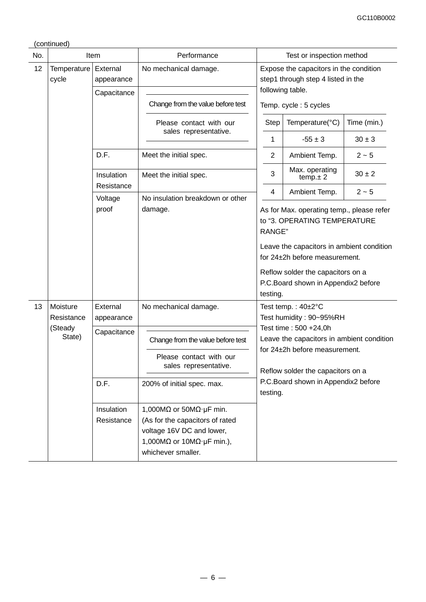| No. |                        | Item                                  | Performance                                                                                                                                                                    |                                   | Test or inspection method                                                                                                                                                                                                           |             |  |
|-----|------------------------|---------------------------------------|--------------------------------------------------------------------------------------------------------------------------------------------------------------------------------|-----------------------------------|-------------------------------------------------------------------------------------------------------------------------------------------------------------------------------------------------------------------------------------|-------------|--|
| 12  | Temperature<br>cycle   | External<br>appearance<br>Capacitance | No mechanical damage.                                                                                                                                                          |                                   | Expose the capacitors in the condition<br>step1 through step 4 listed in the<br>following table.                                                                                                                                    |             |  |
|     |                        |                                       | Change from the value before test                                                                                                                                              |                                   | Temp. cycle: 5 cycles                                                                                                                                                                                                               |             |  |
|     |                        |                                       | Please contact with our<br>sales representative.                                                                                                                               | <b>Step</b>                       | Temperature(°C)                                                                                                                                                                                                                     | Time (min.) |  |
|     |                        |                                       |                                                                                                                                                                                | 1                                 | $-55 \pm 3$                                                                                                                                                                                                                         | $30 \pm 3$  |  |
|     |                        | D.F.                                  | Meet the initial spec.                                                                                                                                                         | 2                                 | Ambient Temp.                                                                                                                                                                                                                       | $2 - 5$     |  |
|     |                        | Insulation                            | Meet the initial spec.                                                                                                                                                         | 3                                 | Max. operating<br>temp.± 2                                                                                                                                                                                                          | $30 \pm 2$  |  |
|     |                        | Resistance<br>Voltage                 | No insulation breakdown or other                                                                                                                                               | 4                                 | Ambient Temp.                                                                                                                                                                                                                       | $2 - 5$     |  |
|     |                        | proof                                 | damage.                                                                                                                                                                        | RANGE"                            | As for Max. operating temp., please refer<br>to "3. OPERATING TEMPERATURE<br>Leave the capacitors in ambient condition<br>for 24±2h before measurement.<br>Reflow solder the capacitors on a<br>P.C.Board shown in Appendix2 before |             |  |
| 13  | Moisture<br>Resistance | External<br>appearance                | No mechanical damage.                                                                                                                                                          | testing.                          | Test temp.: 40±2°C<br>Test humidity: 90~95%RH                                                                                                                                                                                       |             |  |
|     | (Steady                | Capacitance                           |                                                                                                                                                                                | Test time: 500 +24,0h             |                                                                                                                                                                                                                                     |             |  |
|     | State)                 |                                       | Change from the value before test                                                                                                                                              |                                   | Leave the capacitors in ambient condition<br>for $24\pm2h$ before measurement.                                                                                                                                                      |             |  |
|     |                        |                                       | Please contact with our<br>sales representative.                                                                                                                               | Reflow solder the capacitors on a |                                                                                                                                                                                                                                     |             |  |
|     |                        | D.F.                                  | 200% of initial spec. max.                                                                                                                                                     | testing.                          | P.C.Board shown in Appendix2 before                                                                                                                                                                                                 |             |  |
|     |                        | Insulation<br>Resistance              | 1,000M $\Omega$ or 50M $\Omega$ · µF min.<br>(As for the capacitors of rated<br>voltage 16V DC and lower,<br>1,000M $\Omega$ or 10M $\Omega$ · µF min.),<br>whichever smaller. |                                   |                                                                                                                                                                                                                                     |             |  |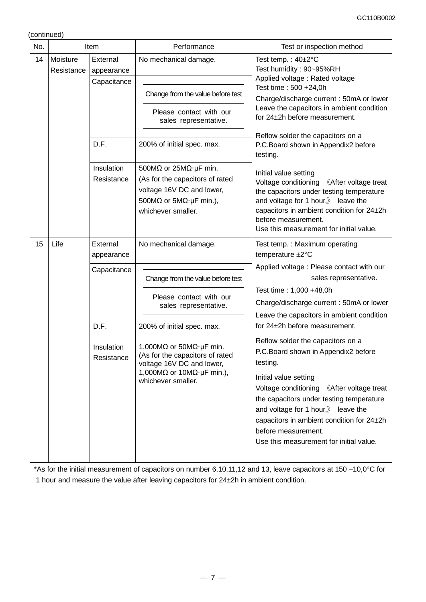(continued)

| No. | Item                   |                          | Performance                                                                                                                                                                    | Test or inspection method                                                                                                                                                                                                                                                                                                                                                          |
|-----|------------------------|--------------------------|--------------------------------------------------------------------------------------------------------------------------------------------------------------------------------|------------------------------------------------------------------------------------------------------------------------------------------------------------------------------------------------------------------------------------------------------------------------------------------------------------------------------------------------------------------------------------|
| 14  | Moisture<br>Resistance | External<br>appearance   | No mechanical damage.                                                                                                                                                          | Test temp.: $40\pm2^{\circ}C$<br>Test humidity: 90~95%RH<br>Applied voltage: Rated voltage                                                                                                                                                                                                                                                                                         |
|     |                        | Capacitance              | Change from the value before test                                                                                                                                              | Test time: 500 +24,0h<br>Charge/discharge current: 50mA or lower                                                                                                                                                                                                                                                                                                                   |
|     |                        |                          | Please contact with our<br>sales representative.                                                                                                                               | Leave the capacitors in ambient condition<br>for 24±2h before measurement.                                                                                                                                                                                                                                                                                                         |
|     |                        | D.F.                     | 200% of initial spec. max.                                                                                                                                                     | Reflow solder the capacitors on a<br>P.C.Board shown in Appendix2 before<br>testing.                                                                                                                                                                                                                                                                                               |
|     |                        | Insulation<br>Resistance | 500M $\Omega$ or 25M $\Omega$ µF min.<br>(As for the capacitors of rated<br>voltage 16V DC and lower,<br>500M $\Omega$ or 5M $\Omega$ · µF min.),<br>whichever smaller.        | Initial value setting<br>Voltage conditioning<br><b>KAfter voltage treat</b><br>the capacitors under testing temperature<br>and voltage for 1 hour, $\mathbb{\ }$ leave the<br>capacitors in ambient condition for 24±2h<br>before measurement.<br>Use this measurement for initial value.                                                                                         |
| 15  | Life                   | External<br>appearance   | No mechanical damage.                                                                                                                                                          | Test temp. : Maximum operating<br>temperature ±2°C<br>Applied voltage : Please contact with our                                                                                                                                                                                                                                                                                    |
|     |                        | Capacitance              | Change from the value before test                                                                                                                                              | sales representative.                                                                                                                                                                                                                                                                                                                                                              |
|     |                        |                          | Please contact with our<br>sales representative.                                                                                                                               | Test time: 1,000 +48,0h<br>Charge/discharge current: 50mA or lower<br>Leave the capacitors in ambient condition                                                                                                                                                                                                                                                                    |
|     |                        | D.F.                     | 200% of initial spec. max.                                                                                                                                                     | for 24±2h before measurement.                                                                                                                                                                                                                                                                                                                                                      |
|     |                        | Insulation<br>Resistance | 1,000M $\Omega$ or 50M $\Omega$ · µF min.<br>(As for the capacitors of rated<br>voltage 16V DC and lower,<br>1,000M $\Omega$ or 10M $\Omega$ · µF min.),<br>whichever smaller. | Reflow solder the capacitors on a<br>P.C.Board shown in Appendix2 before<br>testing.<br>Initial value setting<br>Voltage conditioning<br><b>Kafter voltage treat</b><br>the capacitors under testing temperature<br>and voltage for 1 hour, $\mathbb{\ }$ leave the<br>capacitors in ambient condition for 24±2h<br>before measurement.<br>Use this measurement for initial value. |

\*As for the initial measurement of capacitors on number 6,10,11,12 and 13, leave capacitors at 150 –10,0°C for 1 hour and measure the value after leaving capacitors for 24±2h in ambient condition.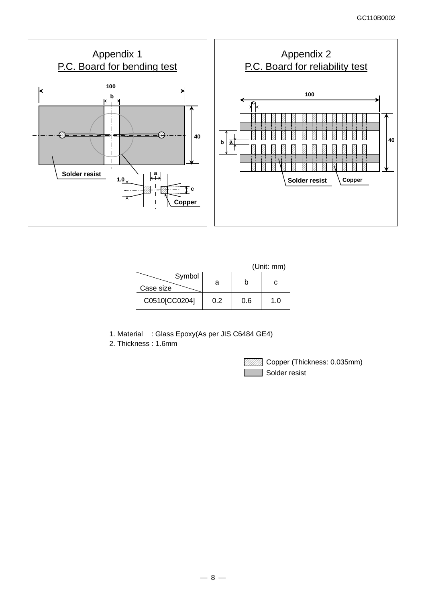

|                     |     |     | (Unit: mm) |
|---------------------|-----|-----|------------|
| Symbol<br>Case size | а   |     | c          |
| C0510[CC0204]       | 0.2 | 0.6 | 1.0        |

- 1. Material : Glass Epoxy(As per JIS C6484 GE4)
- 2. Thickness : 1.6mm



**ZZZZ** Copper (Thickness: 0.035mm) Solder resist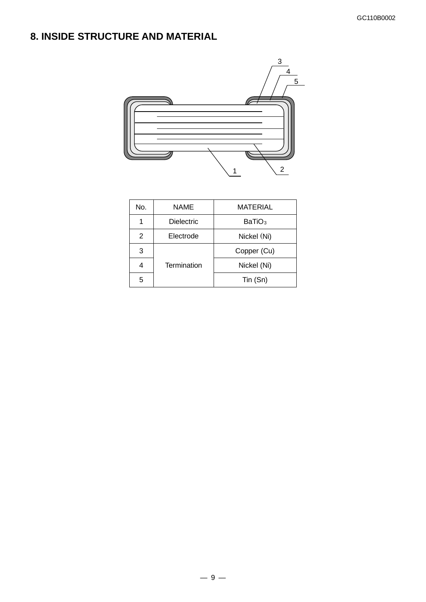# **8. INSIDE STRUCTURE AND MATERIAL**



| No. | <b>NAME</b>        | MATERIAL           |
|-----|--------------------|--------------------|
|     | <b>Dielectric</b>  | BaTiO <sub>3</sub> |
| 2   | Electrode          | Nickel (Ni)        |
| 3   |                    | Copper (Cu)        |
|     | <b>Termination</b> | Nickel (Ni)        |
| 5   |                    | Tin (Sn)           |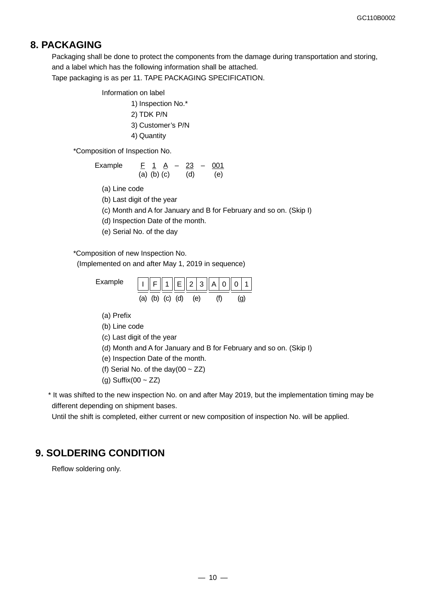## **8. PACKAGING**

Packaging shall be done to protect the components from the damage during transportation and storing, and a label which has the following information shall be attached. Tape packaging is as per 11. TAPE PACKAGING SPECIFICATION.

Information on label

1) Inspection No.\* 2) TDK P/N 3) Customer's P/N 4) Quantity

\*Composition of Inspection No.

Example 
$$
\frac{F}{(a)} \frac{1}{(b)} \frac{A}{(c)} - \frac{23}{(d)} - \frac{001}{(e)}
$$

(a) Line code

(b) Last digit of the year

(c) Month and A for January and B for February and so on. (Skip I)

(d) Inspection Date of the month.

(e) Serial No. of the day

\*Composition of new Inspection No.

(Implemented on and after May 1, 2019 in sequence)

Example  $\| \cdot \|_F \|_1 \|_E \|_2 |_3 \|_A |_0 \|_0$ (b) (c) (d) (e) (f) (g)

(a) Prefix

(b) Line code

(c) Last digit of the year

- (d) Month and A for January and B for February and so on. (Skip I)
- (e) Inspection Date of the month.
- (f) Serial No. of the day(00  $\sim$  ZZ)
- (g) Suffix(00  $\sim$  ZZ)

\* It was shifted to the new inspection No. on and after May 2019, but the implementation timing may be different depending on shipment bases.

Until the shift is completed, either current or new composition of inspection No. will be applied.

## **9. SOLDERING CONDITION**

Reflow soldering only.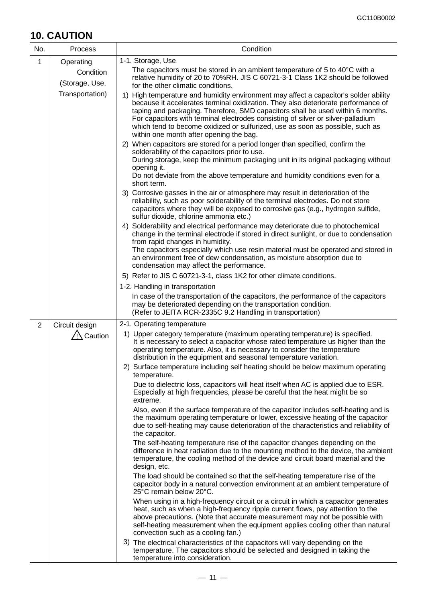# **10. CAUTION**

| No.            | <b>Process</b>              | Condition                                                                                                                                                                                                                                                                                                                                                                                                                                                                   |
|----------------|-----------------------------|-----------------------------------------------------------------------------------------------------------------------------------------------------------------------------------------------------------------------------------------------------------------------------------------------------------------------------------------------------------------------------------------------------------------------------------------------------------------------------|
| 1              | Operating                   | 1-1. Storage, Use                                                                                                                                                                                                                                                                                                                                                                                                                                                           |
|                | Condition<br>(Storage, Use, | The capacitors must be stored in an ambient temperature of 5 to $40^{\circ}$ C with a<br>relative humidity of 20 to 70%RH. JIS C 60721-3-1 Class 1K2 should be followed<br>for the other climatic conditions.                                                                                                                                                                                                                                                               |
|                | Transportation)             | 1) High temperature and humidity environment may affect a capacitor's solder ability<br>because it accelerates terminal oxidization. They also deteriorate performance of<br>taping and packaging. Therefore, SMD capacitors shall be used within 6 months.<br>For capacitors with terminal electrodes consisting of silver or silver-palladium<br>which tend to become oxidized or sulfurized, use as soon as possible, such as<br>within one month after opening the bag. |
|                |                             | 2) When capacitors are stored for a period longer than specified, confirm the<br>solderability of the capacitors prior to use.<br>During storage, keep the minimum packaging unit in its original packaging without<br>opening it.<br>Do not deviate from the above temperature and humidity conditions even for a<br>short term.                                                                                                                                           |
|                |                             | 3) Corrosive gasses in the air or atmosphere may result in deterioration of the<br>reliability, such as poor solderability of the terminal electrodes. Do not store<br>capacitors where they will be exposed to corrosive gas (e.g., hydrogen sulfide,<br>sulfur dioxide, chlorine ammonia etc.)                                                                                                                                                                            |
|                |                             | 4) Solderability and electrical performance may deteriorate due to photochemical<br>change in the terminal electrode if stored in direct sunlight, or due to condensation<br>from rapid changes in humidity.<br>The capacitors especially which use resin material must be operated and stored in<br>an environment free of dew condensation, as moisture absorption due to<br>condensation may affect the performance.                                                     |
|                |                             | 5) Refer to JIS C 60721-3-1, class 1K2 for other climate conditions.                                                                                                                                                                                                                                                                                                                                                                                                        |
|                |                             | 1-2. Handling in transportation                                                                                                                                                                                                                                                                                                                                                                                                                                             |
|                |                             | In case of the transportation of the capacitors, the performance of the capacitors<br>may be deteriorated depending on the transportation condition.<br>(Refer to JEITA RCR-2335C 9.2 Handling in transportation)                                                                                                                                                                                                                                                           |
| $\overline{2}$ | Circuit design              | 2-1. Operating temperature                                                                                                                                                                                                                                                                                                                                                                                                                                                  |
|                | $\sqrt{2}$ Caution          | 1) Upper category temperature (maximum operating temperature) is specified.<br>It is necessary to select a capacitor whose rated temperature us higher than the<br>operating temperature. Also, it is necessary to consider the temperature<br>distribution in the equipment and seasonal temperature variation.                                                                                                                                                            |
|                |                             | 2) Surface temperature including self heating should be below maximum operating<br>temperature.                                                                                                                                                                                                                                                                                                                                                                             |
|                |                             | Due to dielectric loss, capacitors will heat itself when AC is applied due to ESR.<br>Especially at high frequencies, please be careful that the heat might be so<br>extreme.                                                                                                                                                                                                                                                                                               |
|                |                             | Also, even if the surface temperature of the capacitor includes self-heating and is<br>the maximum operating temperature or lower, excessive heating of the capacitor<br>due to self-heating may cause deterioration of the characteristics and reliability of<br>the capacitor.                                                                                                                                                                                            |
|                |                             | The self-heating temperature rise of the capacitor changes depending on the<br>difference in heat radiation due to the mounting method to the device, the ambient<br>temperature, the cooling method of the device and circuit board maerial and the<br>design, etc.                                                                                                                                                                                                        |
|                |                             | The load should be contained so that the self-heating temperature rise of the<br>capacitor body in a natural convection environment at an ambient temperature of<br>25°C remain below 20°C.                                                                                                                                                                                                                                                                                 |
|                |                             | When using in a high-frequency circuit or a circuit in which a capacitor generates<br>heat, such as when a high-frequency ripple current flows, pay attention to the<br>above precautions. (Note that accurate measurement may not be possible with<br>self-heating measurement when the equipment applies cooling other than natural<br>convection such as a cooling fan.)                                                                                                 |
|                |                             | 3) The electrical characteristics of the capacitors will vary depending on the<br>temperature. The capacitors should be selected and designed in taking the<br>temperature into consideration.                                                                                                                                                                                                                                                                              |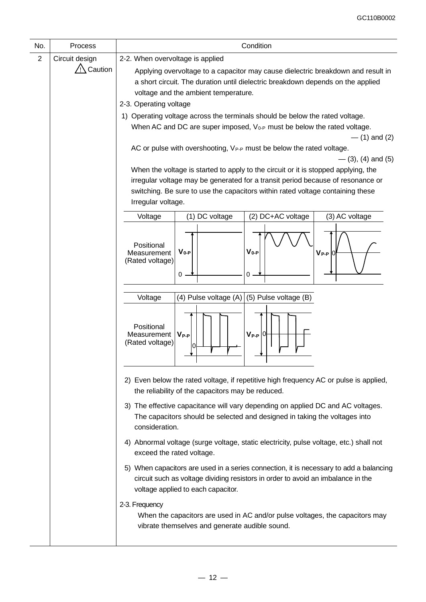| No.            | Process            | Condition                                                                                                                                                                                                                                                                                                                                                                                                                                                                                                                                                                                                                                                                                                |
|----------------|--------------------|----------------------------------------------------------------------------------------------------------------------------------------------------------------------------------------------------------------------------------------------------------------------------------------------------------------------------------------------------------------------------------------------------------------------------------------------------------------------------------------------------------------------------------------------------------------------------------------------------------------------------------------------------------------------------------------------------------|
| $\overline{2}$ | Circuit design     | 2-2. When overvoltage is applied                                                                                                                                                                                                                                                                                                                                                                                                                                                                                                                                                                                                                                                                         |
|                | $\sqrt{N}$ Caution | Applying overvoltage to a capacitor may cause dielectric breakdown and result in<br>a short circuit. The duration until dielectric breakdown depends on the applied<br>voltage and the ambient temperature.<br>2-3. Operating voltage<br>1) Operating voltage across the terminals should be below the rated voltage.<br>When AC and DC are super imposed, V <sub>0-P</sub> must be below the rated voltage.<br>$-$ (1) and (2)<br>AC or pulse with overshooting, VP-P must be below the rated voltage.<br>$-$ (3), (4) and (5)<br>When the voltage is started to apply to the circuit or it is stopped applying, the<br>irregular voltage may be generated for a transit period because of resonance or |
|                |                    | switching. Be sure to use the capacitors within rated voltage containing these<br>Irregular voltage.                                                                                                                                                                                                                                                                                                                                                                                                                                                                                                                                                                                                     |
|                |                    | (2) DC+AC voltage<br>Voltage<br>(1) DC voltage<br>(3) AC voltage                                                                                                                                                                                                                                                                                                                                                                                                                                                                                                                                                                                                                                         |
|                |                    | Positional<br>$V_{0-P}$<br>$V_{0-P}$<br>Measurement<br>$V_{P-P}$ $ 0$<br>(Rated voltage)<br>0<br>0                                                                                                                                                                                                                                                                                                                                                                                                                                                                                                                                                                                                       |
|                |                    | (4) Pulse voltage (A) $ (5)$ Pulse voltage (B)<br>Voltage                                                                                                                                                                                                                                                                                                                                                                                                                                                                                                                                                                                                                                                |
|                |                    | Positional<br>$V_{P-P}$ $ 0 $<br>$V_{P-P}$<br>Measurement<br>(Rated voltage)<br>the contract of the contract of                                                                                                                                                                                                                                                                                                                                                                                                                                                                                                                                                                                          |
|                |                    | 2) Even below the rated voltage, if repetitive high frequency AC or pulse is applied,<br>the reliability of the capacitors may be reduced.                                                                                                                                                                                                                                                                                                                                                                                                                                                                                                                                                               |
|                |                    | 3) The effective capacitance will vary depending on applied DC and AC voltages.<br>The capacitors should be selected and designed in taking the voltages into<br>consideration.                                                                                                                                                                                                                                                                                                                                                                                                                                                                                                                          |
|                |                    | 4) Abnormal voltage (surge voltage, static electricity, pulse voltage, etc.) shall not<br>exceed the rated voltage.                                                                                                                                                                                                                                                                                                                                                                                                                                                                                                                                                                                      |
|                |                    | 5) When capacitors are used in a series connection, it is necessary to add a balancing<br>circuit such as voltage dividing resistors in order to avoid an imbalance in the<br>voltage applied to each capacitor.                                                                                                                                                                                                                                                                                                                                                                                                                                                                                         |
|                |                    | 2-3. Frequency<br>When the capacitors are used in AC and/or pulse voltages, the capacitors may<br>vibrate themselves and generate audible sound.                                                                                                                                                                                                                                                                                                                                                                                                                                                                                                                                                         |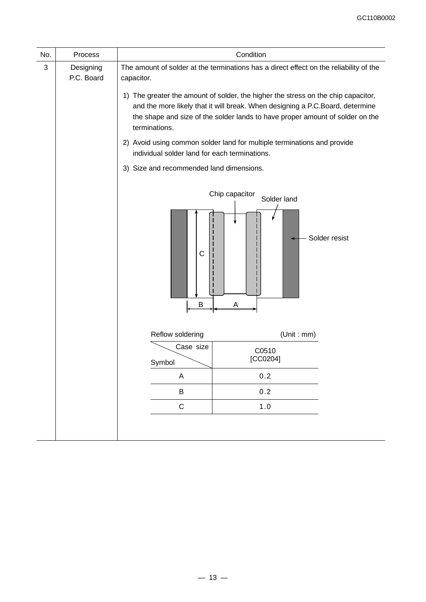| No. | Process                 |                                                                              | Condition                                                                                                                                                                                                                                                                                                                                                                                                                |
|-----|-------------------------|------------------------------------------------------------------------------|--------------------------------------------------------------------------------------------------------------------------------------------------------------------------------------------------------------------------------------------------------------------------------------------------------------------------------------------------------------------------------------------------------------------------|
| 3   | Designing<br>P.C. Board | capacitor.<br>terminations.<br>individual solder land for each terminations. | The amount of solder at the terminations has a direct effect on the reliability of the<br>1) The greater the amount of solder, the higher the stress on the chip capacitor,<br>and the more likely that it will break. When designing a P.C.Board, determine<br>the shape and size of the solder lands to have proper amount of solder on the<br>2) Avoid using common solder land for multiple terminations and provide |
|     |                         | 3) Size and recommended land dimensions.                                     |                                                                                                                                                                                                                                                                                                                                                                                                                          |
|     |                         | $\mathsf C$<br>Β                                                             | Chip capacitor<br>Solder land<br>Solder resist<br>A                                                                                                                                                                                                                                                                                                                                                                      |
|     |                         | Reflow soldering                                                             | (Unit : mm)                                                                                                                                                                                                                                                                                                                                                                                                              |
|     |                         | Case size<br>Symbol                                                          | C0510<br>[CC0204]                                                                                                                                                                                                                                                                                                                                                                                                        |
|     |                         | Α                                                                            | 0.2                                                                                                                                                                                                                                                                                                                                                                                                                      |
|     |                         | B                                                                            | 0.2                                                                                                                                                                                                                                                                                                                                                                                                                      |
|     |                         | $\mathsf C$                                                                  | $1.0$                                                                                                                                                                                                                                                                                                                                                                                                                    |
|     |                         |                                                                              |                                                                                                                                                                                                                                                                                                                                                                                                                          |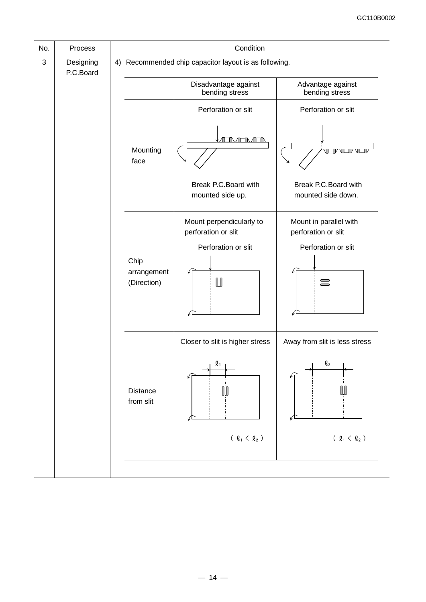| No.        | Process                |                                    | Condition                                                                                    |                                                                                     |
|------------|------------------------|------------------------------------|----------------------------------------------------------------------------------------------|-------------------------------------------------------------------------------------|
| $\sqrt{3}$ | Designing<br>P.C.Board |                                    | 4) Recommended chip capacitor layout is as following.                                        |                                                                                     |
|            |                        |                                    | Disadvantage against<br>bending stress                                                       | Advantage against<br>bending stress                                                 |
|            |                        |                                    | Perforation or slit                                                                          | Perforation or slit                                                                 |
|            |                        | Mounting<br>face                   | IMTMTN                                                                                       |                                                                                     |
|            |                        |                                    | Break P.C. Board with<br>mounted side up.                                                    | Break P.C. Board with<br>mounted side down.                                         |
|            |                        | Chip<br>arrangement<br>(Direction) | Mount perpendicularly to<br>perforation or slit<br>Perforation or slit<br>$\Box$             | Mount in parallel with<br>perforation or slit<br>Perforation or slit                |
|            |                        | <b>Distance</b><br>from slit       | Closer to slit is higher stress<br>$\boldsymbol{\varrho}_1$<br>( $\varrho_1$ < $\varrho_2$ ) | Away from slit is less stress<br>$\mathbf{\ell}_2$<br>( $\varrho_1$ < $\varrho_2$ ) |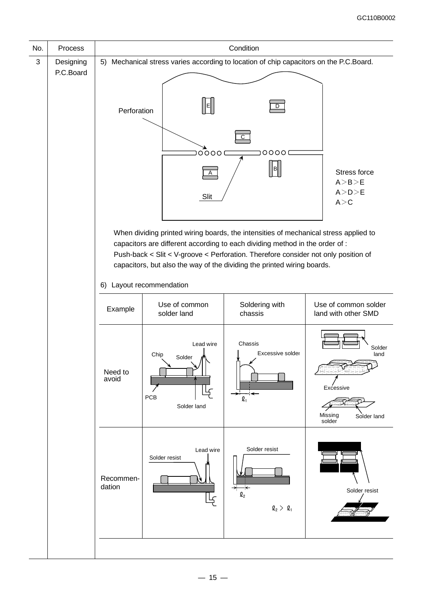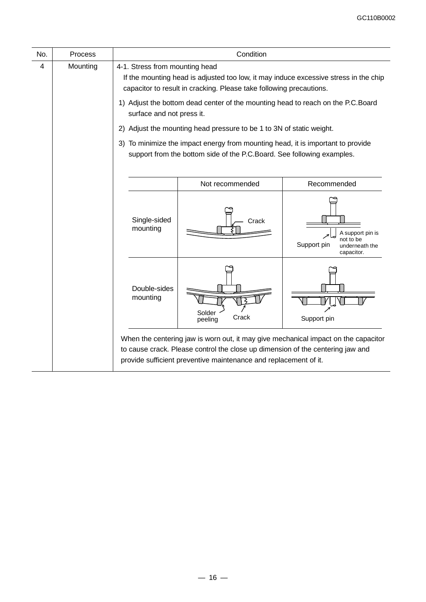| No. | Process  |                                | Condition                                                                                                                                                                                                                                |                                                                              |
|-----|----------|--------------------------------|------------------------------------------------------------------------------------------------------------------------------------------------------------------------------------------------------------------------------------------|------------------------------------------------------------------------------|
| 4   | Mounting | 4-1. Stress from mounting head | If the mounting head is adjusted too low, it may induce excessive stress in the chip<br>capacitor to result in cracking. Please take following precautions.                                                                              |                                                                              |
|     |          | surface and not press it.      | 1) Adjust the bottom dead center of the mounting head to reach on the P.C.Board                                                                                                                                                          |                                                                              |
|     |          | 2)                             | Adjust the mounting head pressure to be 1 to 3N of static weight.                                                                                                                                                                        |                                                                              |
|     |          |                                | 3) To minimize the impact energy from mounting head, it is important to provide<br>support from the bottom side of the P.C.Board. See following examples.                                                                                |                                                                              |
|     |          |                                | Not recommended                                                                                                                                                                                                                          | Recommended                                                                  |
|     |          | Single-sided<br>mounting       | Crack                                                                                                                                                                                                                                    | A support pin is<br>not to be<br>Support pin<br>underneath the<br>capacitor. |
|     |          | Double-sides<br>mounting       | Solder<br>Crack<br>peeling                                                                                                                                                                                                               | Support pin                                                                  |
|     |          |                                | When the centering jaw is worn out, it may give mechanical impact on the capacitor<br>to cause crack. Please control the close up dimension of the centering jaw and<br>provide sufficient preventive maintenance and replacement of it. |                                                                              |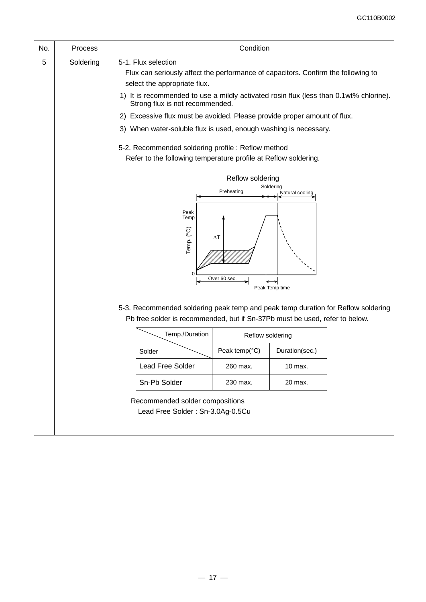| No. | Process   |                                                                                                                                                                                                                                                                                                                                                                                                                                                                                                                                                                                                                                                                                 | Condition                                                 |                                      |  |
|-----|-----------|---------------------------------------------------------------------------------------------------------------------------------------------------------------------------------------------------------------------------------------------------------------------------------------------------------------------------------------------------------------------------------------------------------------------------------------------------------------------------------------------------------------------------------------------------------------------------------------------------------------------------------------------------------------------------------|-----------------------------------------------------------|--------------------------------------|--|
| 5   | Soldering | 5-1. Flux selection<br>Flux can seriously affect the performance of capacitors. Confirm the following to<br>select the appropriate flux.<br>1) It is recommended to use a mildly activated rosin flux (less than 0.1wt% chlorine).<br>Strong flux is not recommended.<br>Excessive flux must be avoided. Please provide proper amount of flux.<br>2)<br>3) When water-soluble flux is used, enough washing is necessary.<br>5-2. Recommended soldering profile : Reflow method<br>Refer to the following temperature profile at Reflow soldering.<br>Reflow soldering<br>Soldering<br>Preheating<br>Natural cooling<br>Peak<br>Temp<br>Temp. (°C)<br>$\Delta T$<br>Over 60 sec. |                                                           |                                      |  |
|     |           | 5-3. Recommended soldering peak temp and peak temp duration for Reflow soldering<br>Pb free solder is recommended, but if Sn-37Pb must be used, refer to below.<br>Temp./Duration<br>Solder<br><b>Lead Free Solder</b><br>Sn-Pb Solder<br>Recommended solder compositions<br>Lead Free Solder: Sn-3.0Ag-0.5Cu                                                                                                                                                                                                                                                                                                                                                                   | Reflow soldering<br>Peak temp(°C)<br>260 max.<br>230 max. | Duration(sec.)<br>10 max.<br>20 max. |  |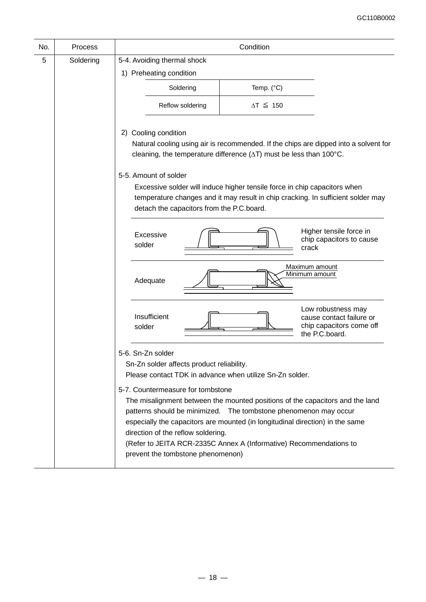| No. | Process   |                                                                                                                                                                                                                                                                                                                                                                                                                                                                                                                                                        | Condition           |                                                                                                                                                                          |
|-----|-----------|--------------------------------------------------------------------------------------------------------------------------------------------------------------------------------------------------------------------------------------------------------------------------------------------------------------------------------------------------------------------------------------------------------------------------------------------------------------------------------------------------------------------------------------------------------|---------------------|--------------------------------------------------------------------------------------------------------------------------------------------------------------------------|
| 5   | Soldering | 5-4. Avoiding thermal shock                                                                                                                                                                                                                                                                                                                                                                                                                                                                                                                            |                     |                                                                                                                                                                          |
|     |           | 1) Preheating condition                                                                                                                                                                                                                                                                                                                                                                                                                                                                                                                                |                     |                                                                                                                                                                          |
|     |           | Soldering                                                                                                                                                                                                                                                                                                                                                                                                                                                                                                                                              | Temp. (°C)          |                                                                                                                                                                          |
|     |           | Reflow soldering                                                                                                                                                                                                                                                                                                                                                                                                                                                                                                                                       | $\Delta T \leq 150$ |                                                                                                                                                                          |
|     |           | 2) Cooling condition<br>cleaning, the temperature difference $(\Delta T)$ must be less than 100 $^{\circ}$ C.<br>5-5. Amount of solder<br>Excessive solder will induce higher tensile force in chip capacitors when<br>detach the capacitors from the P.C.board.                                                                                                                                                                                                                                                                                       |                     | Natural cooling using air is recommended. If the chips are dipped into a solvent for<br>temperature changes and it may result in chip cracking. In sufficient solder may |
|     |           | Excessive<br>solder                                                                                                                                                                                                                                                                                                                                                                                                                                                                                                                                    |                     | Higher tensile force in<br>chip capacitors to cause<br>crack                                                                                                             |
|     |           | Adequate                                                                                                                                                                                                                                                                                                                                                                                                                                                                                                                                               |                     | Maximum amount<br>Minimum amount                                                                                                                                         |
|     |           | Insufficient<br>solder                                                                                                                                                                                                                                                                                                                                                                                                                                                                                                                                 |                     | Low robustness may<br>cause contact failure or<br>chip capacitors come off<br>the P.C.board.                                                                             |
|     |           | 5-6. Sn-Zn solder<br>Sn-Zn solder affects product reliability.<br>Please contact TDK in advance when utilize Sn-Zn solder.<br>5-7. Countermeasure for tombstone<br>The misalignment between the mounted positions of the capacitors and the land<br>patterns should be minimized. The tombstone phenomenon may occur<br>especially the capacitors are mounted (in longitudinal direction) in the same<br>direction of the reflow soldering.<br>(Refer to JEITA RCR-2335C Annex A (Informative) Recommendations to<br>prevent the tombstone phenomenon) |                     |                                                                                                                                                                          |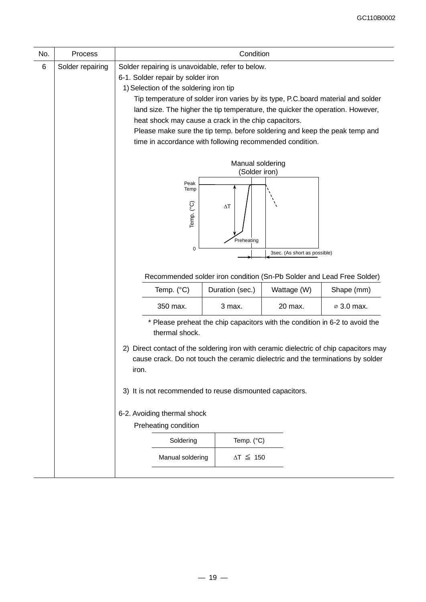| No.                                     | Process          | Condition                                                                                                                                                                          |                                                                                                                       |                                                          |  |  |  |  |  |
|-----------------------------------------|------------------|------------------------------------------------------------------------------------------------------------------------------------------------------------------------------------|-----------------------------------------------------------------------------------------------------------------------|----------------------------------------------------------|--|--|--|--|--|
| $\,6$                                   | Solder repairing |                                                                                                                                                                                    |                                                                                                                       | Solder repairing is unavoidable, refer to below.         |  |  |  |  |  |
|                                         |                  | 6-1. Solder repair by solder iron                                                                                                                                                  |                                                                                                                       |                                                          |  |  |  |  |  |
|                                         |                  | 1) Selection of the soldering iron tip                                                                                                                                             |                                                                                                                       |                                                          |  |  |  |  |  |
|                                         |                  | Tip temperature of solder iron varies by its type, P.C.board material and solder                                                                                                   |                                                                                                                       |                                                          |  |  |  |  |  |
|                                         |                  | land size. The higher the tip temperature, the quicker the operation. However,                                                                                                     |                                                                                                                       |                                                          |  |  |  |  |  |
|                                         |                  | heat shock may cause a crack in the chip capacitors.                                                                                                                               |                                                                                                                       |                                                          |  |  |  |  |  |
|                                         |                  | Please make sure the tip temp. before soldering and keep the peak temp and                                                                                                         |                                                                                                                       |                                                          |  |  |  |  |  |
|                                         |                  |                                                                                                                                                                                    |                                                                                                                       | time in accordance with following recommended condition. |  |  |  |  |  |
|                                         |                  | Manual soldering                                                                                                                                                                   |                                                                                                                       |                                                          |  |  |  |  |  |
|                                         |                  |                                                                                                                                                                                    |                                                                                                                       | (Solder iron)                                            |  |  |  |  |  |
|                                         |                  |                                                                                                                                                                                    | Peak<br>Temp                                                                                                          |                                                          |  |  |  |  |  |
|                                         |                  |                                                                                                                                                                                    | Temp. (°C)<br>$\Delta T$                                                                                              |                                                          |  |  |  |  |  |
|                                         |                  |                                                                                                                                                                                    | Preheating                                                                                                            |                                                          |  |  |  |  |  |
|                                         |                  | $\mathbf 0$<br>3sec. (As short as possible)                                                                                                                                        |                                                                                                                       |                                                          |  |  |  |  |  |
|                                         |                  |                                                                                                                                                                                    |                                                                                                                       |                                                          |  |  |  |  |  |
|                                         |                  | Recommended solder iron condition (Sn-Pb Solder and Lead Free Solder)                                                                                                              |                                                                                                                       |                                                          |  |  |  |  |  |
|                                         |                  |                                                                                                                                                                                    | Shape (mm)<br>Temp. (°C)<br>Duration (sec.)<br>Wattage (W)<br>350 max.<br>3 max.<br>20 max.<br>$\varnothing$ 3.0 max. |                                                          |  |  |  |  |  |
|                                         |                  |                                                                                                                                                                                    |                                                                                                                       |                                                          |  |  |  |  |  |
|                                         |                  | * Please preheat the chip capacitors with the condition in 6-2 to avoid the<br>thermal shock.                                                                                      |                                                                                                                       |                                                          |  |  |  |  |  |
|                                         |                  |                                                                                                                                                                                    |                                                                                                                       |                                                          |  |  |  |  |  |
|                                         |                  | 2) Direct contact of the soldering iron with ceramic dielectric of chip capacitors may<br>cause crack. Do not touch the ceramic dielectric and the terminations by solder<br>iron. |                                                                                                                       |                                                          |  |  |  |  |  |
|                                         |                  |                                                                                                                                                                                    |                                                                                                                       |                                                          |  |  |  |  |  |
|                                         |                  | 3) It is not recommended to reuse dismounted capacitors.                                                                                                                           |                                                                                                                       |                                                          |  |  |  |  |  |
|                                         |                  | 6-2. Avoiding thermal shock                                                                                                                                                        |                                                                                                                       |                                                          |  |  |  |  |  |
|                                         |                  |                                                                                                                                                                                    | Preheating condition                                                                                                  |                                                          |  |  |  |  |  |
|                                         |                  |                                                                                                                                                                                    | Soldering                                                                                                             | Temp. (°C)                                               |  |  |  |  |  |
| $\Delta T \leq 150$<br>Manual soldering |                  |                                                                                                                                                                                    |                                                                                                                       |                                                          |  |  |  |  |  |
|                                         |                  |                                                                                                                                                                                    |                                                                                                                       |                                                          |  |  |  |  |  |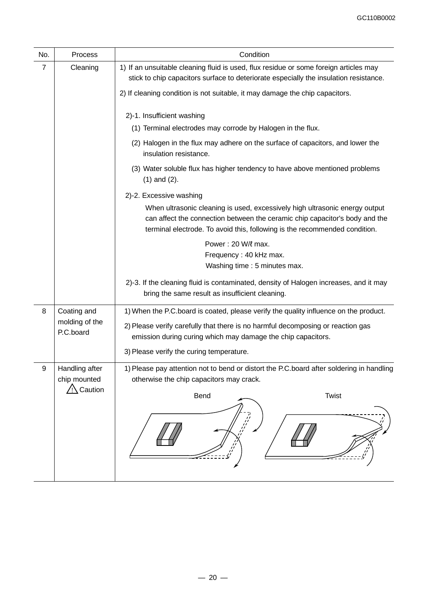| No.            | Process                                              | Condition                                                                                                                                                                                                                                                                           |
|----------------|------------------------------------------------------|-------------------------------------------------------------------------------------------------------------------------------------------------------------------------------------------------------------------------------------------------------------------------------------|
| $\overline{7}$ | Cleaning                                             | 1) If an unsuitable cleaning fluid is used, flux residue or some foreign articles may<br>stick to chip capacitors surface to deteriorate especially the insulation resistance.                                                                                                      |
|                |                                                      | 2) If cleaning condition is not suitable, it may damage the chip capacitors.                                                                                                                                                                                                        |
|                |                                                      | 2)-1. Insufficient washing<br>(1) Terminal electrodes may corrode by Halogen in the flux.<br>(2) Halogen in the flux may adhere on the surface of capacitors, and lower the                                                                                                         |
|                |                                                      | insulation resistance.                                                                                                                                                                                                                                                              |
|                |                                                      | (3) Water soluble flux has higher tendency to have above mentioned problems<br>$(1)$ and $(2)$ .                                                                                                                                                                                    |
|                |                                                      | 2)-2. Excessive washing<br>When ultrasonic cleaning is used, excessively high ultrasonic energy output<br>can affect the connection between the ceramic chip capacitor's body and the<br>terminal electrode. To avoid this, following is the recommended condition.                 |
|                |                                                      | Power: 20 W/l max.<br>Frequency: 40 kHz max.<br>Washing time : 5 minutes max.                                                                                                                                                                                                       |
|                |                                                      | 2)-3. If the cleaning fluid is contaminated, density of Halogen increases, and it may<br>bring the same result as insufficient cleaning.                                                                                                                                            |
| 8              | Coating and<br>molding of the<br>P.C.board           | 1) When the P.C.board is coated, please verify the quality influence on the product.<br>2) Please verify carefully that there is no harmful decomposing or reaction gas<br>emission during curing which may damage the chip capacitors.<br>3) Please verify the curing temperature. |
| 9              | Handling after<br>chip mounted<br>$\sqrt{N}$ Caution | 1) Please pay attention not to bend or distort the P.C.board after soldering in handling<br>otherwise the chip capacitors may crack.<br><b>Bend</b><br><b>Twist</b>                                                                                                                 |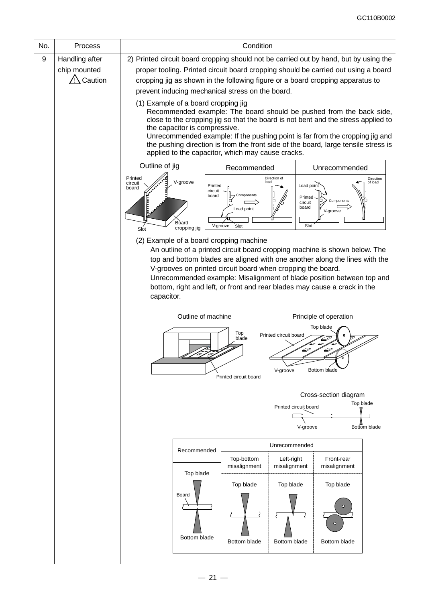| No. | Process        | Condition                                                                                                                                                                                                                                                                                                                                                                                                                                                   |                                                                                                                                                                                                   |              |  |  |  |  |  |
|-----|----------------|-------------------------------------------------------------------------------------------------------------------------------------------------------------------------------------------------------------------------------------------------------------------------------------------------------------------------------------------------------------------------------------------------------------------------------------------------------------|---------------------------------------------------------------------------------------------------------------------------------------------------------------------------------------------------|--------------|--|--|--|--|--|
| 9   | Handling after | 2) Printed circuit board cropping should not be carried out by hand, but by using the                                                                                                                                                                                                                                                                                                                                                                       |                                                                                                                                                                                                   |              |  |  |  |  |  |
|     | chip mounted   | proper tooling. Printed circuit board cropping should be carried out using a board                                                                                                                                                                                                                                                                                                                                                                          |                                                                                                                                                                                                   |              |  |  |  |  |  |
|     | Caution        | cropping jig as shown in the following figure or a board cropping apparatus to                                                                                                                                                                                                                                                                                                                                                                              |                                                                                                                                                                                                   |              |  |  |  |  |  |
|     |                | prevent inducing mechanical stress on the board.                                                                                                                                                                                                                                                                                                                                                                                                            |                                                                                                                                                                                                   |              |  |  |  |  |  |
|     |                | (1) Example of a board cropping jig<br>Recommended example: The board should be pushed from the back side,<br>close to the cropping jig so that the board is not bent and the stress applied to<br>the capacitor is compressive.<br>Unrecommended example: If the pushing point is far from the cropping jig and<br>the pushing direction is from the front side of the board, large tensile stress is<br>applied to the capacitor, which may cause cracks. |                                                                                                                                                                                                   |              |  |  |  |  |  |
|     |                | Outline of jig                                                                                                                                                                                                                                                                                                                                                                                                                                              | Recommended<br>Unrecommended                                                                                                                                                                      |              |  |  |  |  |  |
|     |                | Printed<br>V-groove<br>circuit<br>board<br>board<br>Board<br>cropping jig<br>Slot                                                                                                                                                                                                                                                                                                                                                                           | Direction of<br>Direction<br>of load<br>load<br>Load point<br>Printed<br>circuit<br>Components<br>Printed<br>Components<br>circuit<br>board<br>Load point<br>V-groove<br>Slot<br>V-groove<br>Slot |              |  |  |  |  |  |
|     |                | (2) Example of a board cropping machine                                                                                                                                                                                                                                                                                                                                                                                                                     |                                                                                                                                                                                                   |              |  |  |  |  |  |
|     |                | An outline of a printed circuit board cropping machine is shown below. The<br>top and bottom blades are aligned with one another along the lines with the<br>V-grooves on printed circuit board when cropping the board.<br>Unrecommended example: Misalignment of blade position between top and<br>bottom, right and left, or front and rear blades may cause a crack in the<br>capacitor.                                                                |                                                                                                                                                                                                   |              |  |  |  |  |  |
|     |                | Outline of machine<br>Principle of operation                                                                                                                                                                                                                                                                                                                                                                                                                |                                                                                                                                                                                                   |              |  |  |  |  |  |
|     |                | Top blade<br>Top<br>Printed circuit board<br>blade<br>D<br>D<br>Bottom blade<br>V-groove<br>Printed circuit board                                                                                                                                                                                                                                                                                                                                           |                                                                                                                                                                                                   |              |  |  |  |  |  |
|     |                |                                                                                                                                                                                                                                                                                                                                                                                                                                                             |                                                                                                                                                                                                   |              |  |  |  |  |  |
|     |                | Cross-section diagram<br>Top blade<br>Printed circuit board<br>V-groove<br>Bottom blade                                                                                                                                                                                                                                                                                                                                                                     |                                                                                                                                                                                                   |              |  |  |  |  |  |
|     |                | Unrecommended                                                                                                                                                                                                                                                                                                                                                                                                                                               |                                                                                                                                                                                                   |              |  |  |  |  |  |
|     |                | Recommended<br>Top-bottom<br>Left-right<br>Front-rear<br>misalignment<br>misalignment<br>misalignment                                                                                                                                                                                                                                                                                                                                                       |                                                                                                                                                                                                   |              |  |  |  |  |  |
|     |                | Top blade<br>Board<br>Bottom blade                                                                                                                                                                                                                                                                                                                                                                                                                          | Top blade<br>Top blade                                                                                                                                                                            | Top blade    |  |  |  |  |  |
|     |                |                                                                                                                                                                                                                                                                                                                                                                                                                                                             | Bottom blade<br>Bottom blade                                                                                                                                                                      | Bottom blade |  |  |  |  |  |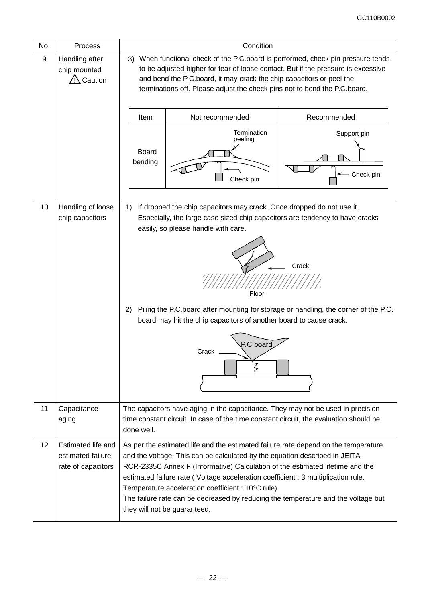| No.               | Process                                                       | Condition                                                                                                                                                                                                                                                                                                                                                                                                                                                                                                        |  |  |  |  |  |
|-------------------|---------------------------------------------------------------|------------------------------------------------------------------------------------------------------------------------------------------------------------------------------------------------------------------------------------------------------------------------------------------------------------------------------------------------------------------------------------------------------------------------------------------------------------------------------------------------------------------|--|--|--|--|--|
| 9                 | Handling after<br>chip mounted<br>Caution                     | 3) When functional check of the P.C.board is performed, check pin pressure tends<br>to be adjusted higher for fear of loose contact. But if the pressure is excessive<br>and bend the P.C.board, it may crack the chip capacitors or peel the<br>terminations off. Please adjust the check pins not to bend the P.C.board.                                                                                                                                                                                       |  |  |  |  |  |
|                   |                                                               | Not recommended<br>Recommended<br>Item                                                                                                                                                                                                                                                                                                                                                                                                                                                                           |  |  |  |  |  |
|                   |                                                               | Termination<br>Support pin<br>peeling<br><b>Board</b><br>bending<br>Check pin<br>Check pin                                                                                                                                                                                                                                                                                                                                                                                                                       |  |  |  |  |  |
| 10                | Handling of loose<br>chip capacitors                          | If dropped the chip capacitors may crack. Once dropped do not use it.<br>1)<br>Especially, the large case sized chip capacitors are tendency to have cracks<br>easily, so please handle with care.<br>Crack<br>Floor<br>Piling the P.C.board after mounting for storage or handling, the corner of the P.C.<br>2)<br>board may hit the chip capacitors of another board to cause crack.<br>P.C.board<br>Crack                                                                                                    |  |  |  |  |  |
| 11                | Capacitance<br>aging                                          | The capacitors have aging in the capacitance. They may not be used in precision<br>time constant circuit. In case of the time constant circuit, the evaluation should be<br>done well.                                                                                                                                                                                                                                                                                                                           |  |  |  |  |  |
| $12 \overline{ }$ | Estimated life and<br>estimated failure<br>rate of capacitors | As per the estimated life and the estimated failure rate depend on the temperature<br>and the voltage. This can be calculated by the equation described in JEITA<br>RCR-2335C Annex F (Informative) Calculation of the estimated lifetime and the<br>estimated failure rate (Voltage acceleration coefficient : 3 multiplication rule,<br>Temperature acceleration coefficient : 10°C rule)<br>The failure rate can be decreased by reducing the temperature and the voltage but<br>they will not be guaranteed. |  |  |  |  |  |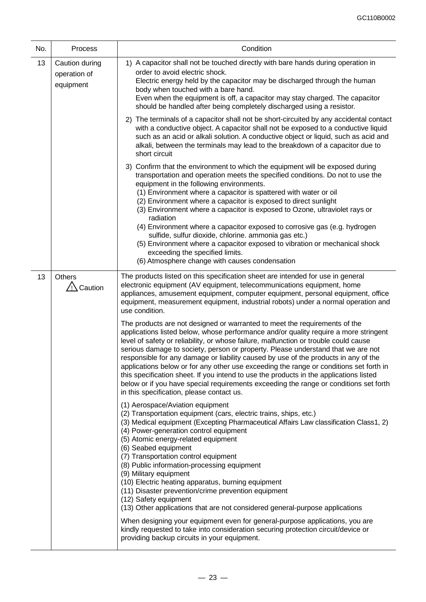| No. | Process                                     | Condition                                                                                                                                                                                                                                                                                                                                                                                                                                                                                                                                                                                                                                                                                                                                                       |
|-----|---------------------------------------------|-----------------------------------------------------------------------------------------------------------------------------------------------------------------------------------------------------------------------------------------------------------------------------------------------------------------------------------------------------------------------------------------------------------------------------------------------------------------------------------------------------------------------------------------------------------------------------------------------------------------------------------------------------------------------------------------------------------------------------------------------------------------|
| 13  | Caution during<br>operation of<br>equipment | 1) A capacitor shall not be touched directly with bare hands during operation in<br>order to avoid electric shock.<br>Electric energy held by the capacitor may be discharged through the human<br>body when touched with a bare hand.<br>Even when the equipment is off, a capacitor may stay charged. The capacitor<br>should be handled after being completely discharged using a resistor.                                                                                                                                                                                                                                                                                                                                                                  |
|     |                                             | 2) The terminals of a capacitor shall not be short-circuited by any accidental contact<br>with a conductive object. A capacitor shall not be exposed to a conductive liquid<br>such as an acid or alkali solution. A conductive object or liquid, such as acid and<br>alkali, between the terminals may lead to the breakdown of a capacitor due to<br>short circuit                                                                                                                                                                                                                                                                                                                                                                                            |
|     |                                             | 3) Confirm that the environment to which the equipment will be exposed during<br>transportation and operation meets the specified conditions. Do not to use the<br>equipment in the following environments.<br>(1) Environment where a capacitor is spattered with water or oil<br>(2) Environment where a capacitor is exposed to direct sunlight<br>(3) Environment where a capacitor is exposed to Ozone, ultraviolet rays or<br>radiation<br>(4) Environment where a capacitor exposed to corrosive gas (e.g. hydrogen<br>sulfide, sulfur dioxide, chlorine. ammonia gas etc.)<br>(5) Environment where a capacitor exposed to vibration or mechanical shock<br>exceeding the specified limits.<br>(6) Atmosphere change with causes condensation           |
| 13  | Others<br>$\sqrt{N}$ Caution                | The products listed on this specification sheet are intended for use in general<br>electronic equipment (AV equipment, telecommunications equipment, home<br>appliances, amusement equipment, computer equipment, personal equipment, office<br>equipment, measurement equipment, industrial robots) under a normal operation and<br>use condition.                                                                                                                                                                                                                                                                                                                                                                                                             |
|     |                                             | The products are not designed or warranted to meet the requirements of the<br>applications listed below, whose performance and/or quality require a more stringent<br>level of safety or reliability, or whose failure, malfunction or trouble could cause<br>serious damage to society, person or property. Please understand that we are not<br>responsible for any damage or liability caused by use of the products in any of the<br>applications below or for any other use exceeding the range or conditions set forth in<br>this specification sheet. If you intend to use the products in the applications listed<br>below or if you have special requirements exceeding the range or conditions set forth<br>in this specification, please contact us. |
|     |                                             | (1) Aerospace/Aviation equipment<br>(2) Transportation equipment (cars, electric trains, ships, etc.)<br>(3) Medical equipment (Excepting Pharmaceutical Affairs Law classification Class1, 2)<br>(4) Power-generation control equipment<br>(5) Atomic energy-related equipment<br>(6) Seabed equipment<br>(7) Transportation control equipment<br>(8) Public information-processing equipment<br>(9) Military equipment<br>(10) Electric heating apparatus, burning equipment<br>(11) Disaster prevention/crime prevention equipment<br>(12) Safety equipment<br>(13) Other applications that are not considered general-purpose applications                                                                                                                  |
|     |                                             | When designing your equipment even for general-purpose applications, you are<br>kindly requested to take into consideration securing protection circuit/device or<br>providing backup circuits in your equipment.                                                                                                                                                                                                                                                                                                                                                                                                                                                                                                                                               |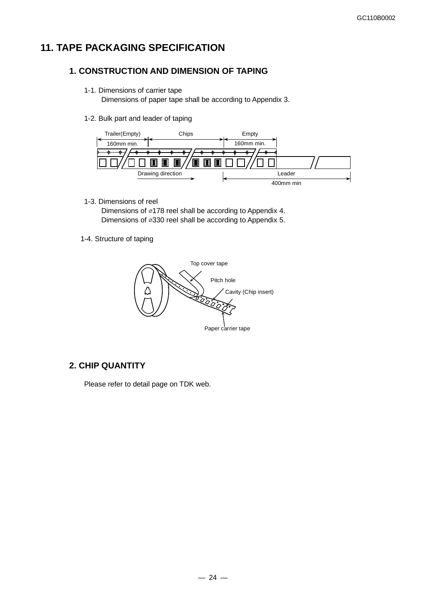## **11. TAPE PACKAGING SPECIFICATION**

### **1. CONSTRUCTION AND DIMENSION OF TAPING**

1-1. Dimensions of carrier tape

Dimensions of paper tape shall be according to Appendix 3.

1-2. Bulk part and leader of taping



1-3. Dimensions of reel

Dimensions of ⌀178 reel shall be according to Appendix 4. Dimensions of ⌀330 reel shall be according to Appendix 5.

1-4. Structure of taping



### **2. CHIP QUANTITY**

Please refer to detail page on TDK web.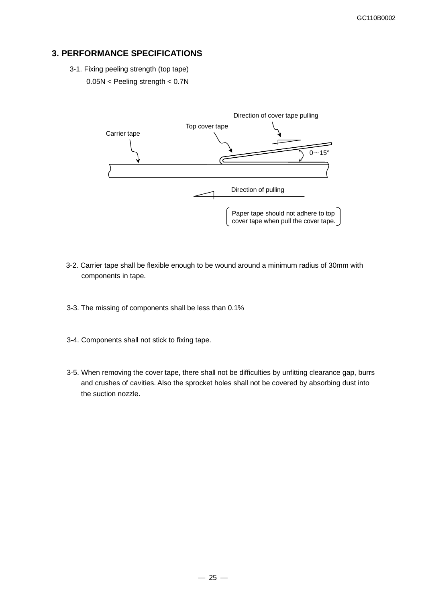## **3. PERFORMANCE SPECIFICATIONS**

3-1. Fixing peeling strength (top tape) 0.05N < Peeling strength < 0.7N



- 3-2. Carrier tape shall be flexible enough to be wound around a minimum radius of 30mm with components in tape.
- 3-3. The missing of components shall be less than 0.1%
- 3-4. Components shall not stick to fixing tape.
- 3-5. When removing the cover tape, there shall not be difficulties by unfitting clearance gap, burrs and crushes of cavities. Also the sprocket holes shall not be covered by absorbing dust into the suction nozzle.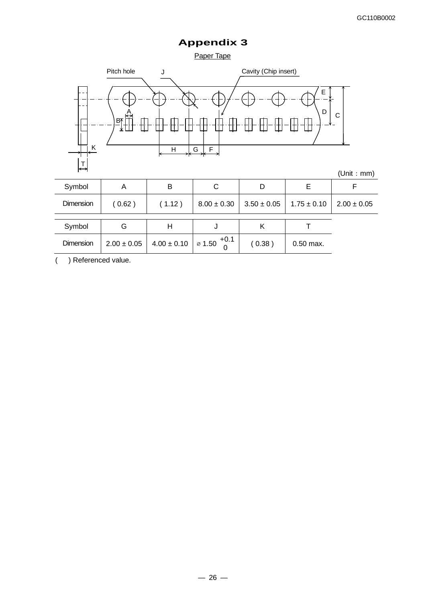## **Appendix 3**





( ) Referenced value.